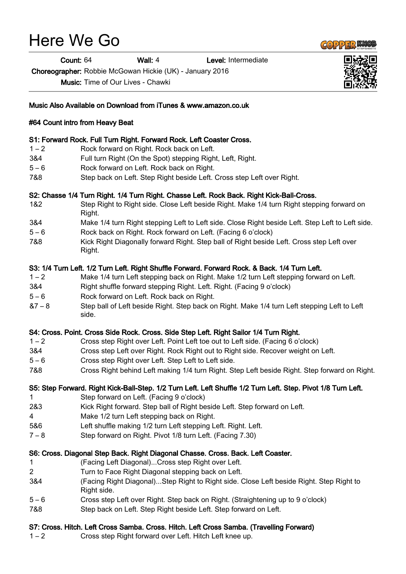# Here We Go

Count: 64 Wall: 4 Level: Intermediate

Choreographer: Robbie McGowan Hickie (UK) - January 2016

Music: Time of Our Lives - Chawki



Music Also Available on Download from iTunes & www.amazon.co.uk

## #64 Count intro from Heavy Beat

### S1: Forward Rock. Full Turn Right. Forward Rock. Left Coaster Cross.

- 1 2 Rock forward on Right. Rock back on Left.
- 3&4 Full turn Right (On the Spot) stepping Right, Left, Right.
- 5 6 Rock forward on Left. Rock back on Right.
- 7&8 Step back on Left. Step Right beside Left. Cross step Left over Right.

## S2: Chasse 1/4 Turn Right. 1/4 Turn Right. Chasse Left. Rock Back. Right Kick-Ball-Cross.

- 1&2 Step Right to Right side. Close Left beside Right. Make 1/4 turn Right stepping forward on Right.
- 3&4 Make 1/4 turn Right stepping Left to Left side. Close Right beside Left. Step Left to Left side.
- 5 6 Rock back on Right. Rock forward on Left. (Facing 6 o'clock)
- 7&8 Kick Right Diagonally forward Right. Step ball of Right beside Left. Cross step Left over Right.

## S3: 1/4 Turn Left. 1/2 Turn Left. Right Shuffle Forward. Forward Rock. & Back. 1/4 Turn Left.

- 1 2 Make 1/4 turn Left stepping back on Right. Make 1/2 turn Left stepping forward on Left.
- 3&4 Right shuffle forward stepping Right. Left. Right. (Facing 9 o'clock)
- 5 6 Rock forward on Left. Rock back on Right.
- &7 8 Step ball of Left beside Right. Step back on Right. Make 1/4 turn Left stepping Left to Left side.

### S4: Cross. Point. Cross Side Rock. Cross. Side Step Left. Right Sailor 1/4 Turn Right.

- 1 2 Cross step Right over Left. Point Left toe out to Left side. (Facing 6 o'clock)
- 3&4 Cross step Left over Right. Rock Right out to Right side. Recover weight on Left.
- 5 6 Cross step Right over Left. Step Left to Left side.
- 7&8 Cross Right behind Left making 1/4 turn Right. Step Left beside Right. Step forward on Right.

## S5: Step Forward. Right Kick-Ball-Step. 1/2 Turn Left. Left Shuffle 1/2 Turn Left. Step. Pivot 1/8 Turn Left.

- 1 Step forward on Left. (Facing 9 o'clock)
- 2&3 Kick Right forward. Step ball of Right beside Left. Step forward on Left.
- 4 Make 1/2 turn Left stepping back on Right.
- 5&6 Left shuffle making 1/2 turn Left stepping Left. Right. Left.
- 7 8 Step forward on Right. Pivot 1/8 turn Left. (Facing 7.30)

### S6: Cross. Diagonal Step Back. Right Diagonal Chasse. Cross. Back. Left Coaster.

- 1 (Facing Left Diagonal)...Cross step Right over Left.
- 2 Turn to Face Right Diagonal stepping back on Left.
- 3&4 (Facing Right Diagonal)...Step Right to Right side. Close Left beside Right. Step Right to Right side.
- 5 6 Cross step Left over Right. Step back on Right. (Straightening up to 9 o'clock)
- 7&8 Step back on Left. Step Right beside Left. Step forward on Left.

### S7: Cross. Hitch. Left Cross Samba. Cross. Hitch. Left Cross Samba. (Travelling Forward)

1 – 2 Cross step Right forward over Left. Hitch Left knee up.